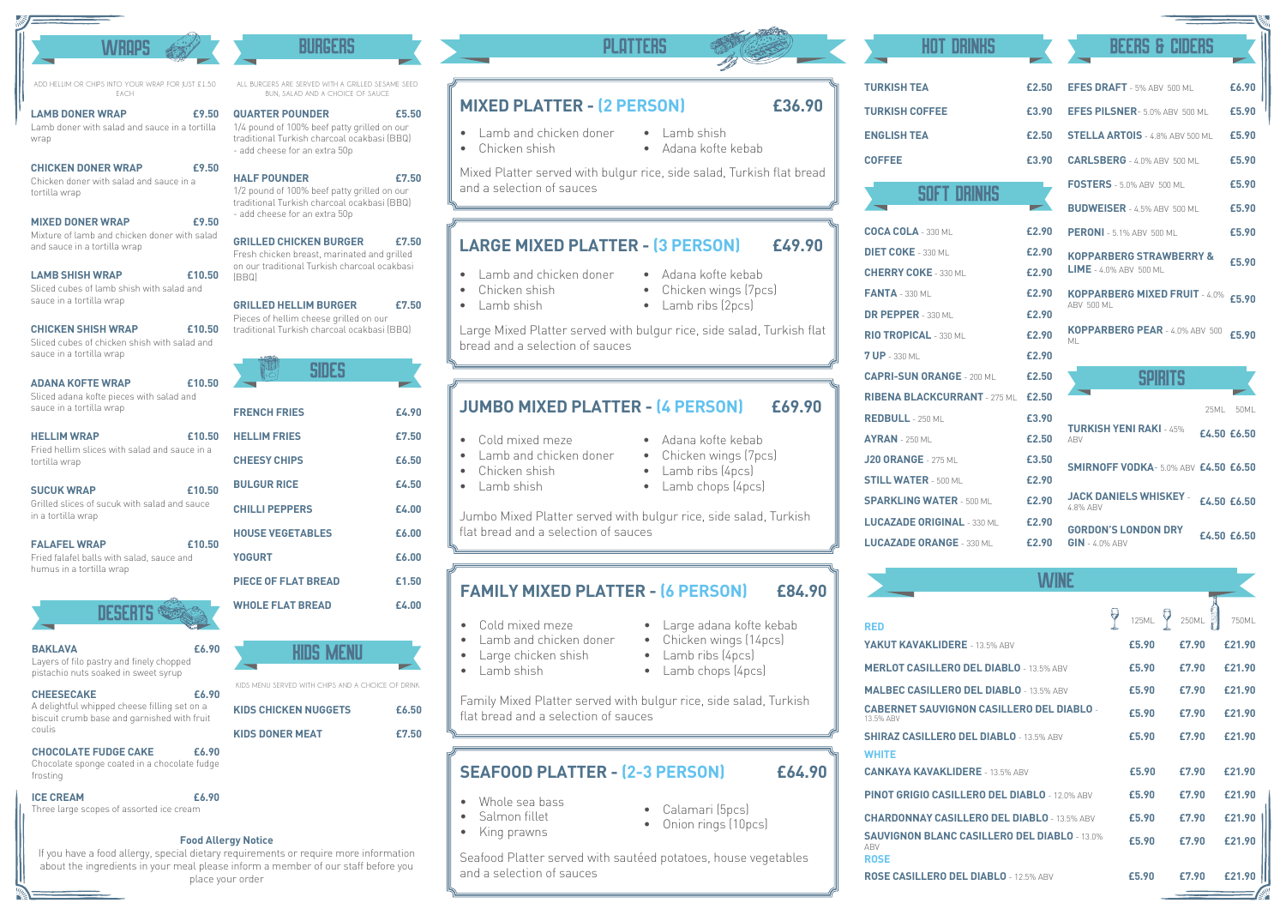## **MIXED PLATTER - (2 PERSON) £36.90**

- Lamb and chicken doner
- Chicken shish
- Adana kofte kebab

• Lamb shish

Mixed Platter served with bulgur rice, side salad, Turkish flat bread and a selection of sauces

## **LARGE MIXED PLATTER - (3 PERSON) £49.90**

- Lamb and chicken doner
- Chicken shish
- Lamb shish
	-
- Adana kofte kebab
- Chicken wings (7pcs)
- Lamb ribs (2pcs)
- Large Mixed Platter served with bulgur rice, side salad, Turkish flat bread and a selection of sauces

- Cold mixed meze
- Lamb and chicken doner
- Chicken shish
- Lamb shish
- 
- 

• Adana kofte kebab • Chicken wings (7pcs)



- 
- 

- Large adana kofte kebab
- Chicken wings (14pcs)
- Lamb ribs (4pcs)

## **JUMBO MIXED PLATTER - (4 PERSON) £69.90**

• Calamari (5pcs) • Onion rings (10pcs)

• Lamb chops (4pcs)

**YAKUT KAVAKI IDER MERLOT CASILLERO MALBEC CASILLERO CABERNET SAUVIGI** 13.5% ABV **SHIRAZ CASILLERO WHITE RED LUCAZADE ORANGE** 

**CANKAYA KAVAKLI** 

Jumbo Mixed Platter served with bulgur rice, side salad, Turkish flat bread and a selection of sauces

- Cold mixed meze
- Lamb and chicken doner
- Large chicken shish
- Lamb shish
- 
- 

### Family Mixed Platter served with bulgur rice, side salad, Turkish flat bread and a selection of sauces

### **£84.90 FAMILY MIXED PLATTER - (6 PERSON)**

## **SEAFOOD PLATTER - (2-3 PERSON) £64.90**

- Whole sea bass
- Salmon fillet
- King prawns

Seafood Platter served with sautéed potatoes, house vegetables and a selection of sauces

## **ROSE CASILLERO D**

**TURKISH TEA TURKISH COFFEE ENGLISH TEA COFFEE £3.90**

| HOT DRINKS                          |       | <b>BEERS &amp; CIDERS</b>                                |       |  |  |
|-------------------------------------|-------|----------------------------------------------------------|-------|--|--|
| <b>TURKISH TEA</b>                  | £2.50 | EFES DRAFT - 5% ABV 500 ML                               | £6.90 |  |  |
| <b>TURKISH COFFEE</b>               | £3.90 | <b>EFES PILSNER- 5.0% ABV 500 MILL</b>                   | £5.90 |  |  |
| <b>ENGLISH TEA</b>                  | £2.50 | <b>STELLA ARTOIS</b> - 4.8% ABV 500 MI                   | £5.90 |  |  |
| <b>COFFEE</b>                       | £3.90 | CARLSBERG - 4.0% ABV 500 ML                              | £5.90 |  |  |
|                                     |       | <b>FOSTERS</b> - 5.0% ABV 500 ML                         | £5.90 |  |  |
| SOFT DRINKS                         |       | <b>BUDWEISER</b> - 4.5% ABV 500 ML                       | £5.90 |  |  |
| $COCA$ COLA - 330 ML                | £2.90 | <b>PERONI</b> - 5.1% ABV 500 ML                          | £5.90 |  |  |
| <b>DIET COKE</b> - 330 ML           | £2.90 | <b>KOPPARBERG STRAWBERRY &amp;</b>                       |       |  |  |
| <b>CHERRY COKE</b> - 330 MI         | £2.90 | £5.90<br>$LIME - 4.0\%$ ABV 500 ML                       |       |  |  |
| <b>FANTA - 330 ML</b>               | £2.90 | KOPPARBERG MIXED FRUIT - 4.0% £5.90                      |       |  |  |
| DR PEPPER - 330 MI                  | £2.90 | <b>ABV 500 ML</b>                                        |       |  |  |
| RIO TROPICAL - 330 ML               | £2.90 | KOPPARBERG PEAR - 4.0% ABV 500<br>МI                     | £5.90 |  |  |
| <b>7 UP</b> - 330 ML                | £2.90 |                                                          |       |  |  |
| <b>CAPRI-SUN ORANGE - 200 MI</b>    | £2.50 | <b>SPIRITS</b>                                           |       |  |  |
| <b>RIBENA BLACKCURRANT - 275 MI</b> | £2.50 |                                                          |       |  |  |
| $REDBULL - 250$ MI                  | £3.90 | 25MI                                                     | 50MI  |  |  |
| $AYRAN - 250$ MI                    | £2.50 | <b>TURKISH YENI RAKI - 45%</b><br>£4.50 £6.50<br>ARV     |       |  |  |
| <b>J20 ORANGE - 275 MI</b>          | £3.50 | <b>SMIRNOFF VODKA- 5.0% ABV £4.50 £6.50</b>              |       |  |  |
| <b>STILL WATER - 500 MI</b>         | £2.90 |                                                          |       |  |  |
| <b>SPARKLING WATER - 500 MILL</b>   | £2.90 | <b>JACK DANIELS WHISKEY -</b><br>£4.50 £6.50<br>4.8% ABV |       |  |  |
| <b>LUCAZADE ORIGINAL - 330 MIL</b>  | £2.90 | <b>GORDON'S LONDON DRY</b>                               |       |  |  |
| <b>LUCAZADE ORANGE - 330 ML</b>     | £2.90 | £4.50 £6.50<br>$GIN - 4.0\%$ ABV                         |       |  |  |

## **WINE**

## **Food Allergy Notice**

If you have a food allergy, special dietary requirements or require more information about the ingredients in your meal please inform a member of our staff before you place your order

|                                                                           | 125ML | 250ML | 750ML  |
|---------------------------------------------------------------------------|-------|-------|--------|
| <b>RED</b>                                                                |       |       |        |
| YAKUT KAVAKLIDERE - 13.5% ABV                                             | £5.90 | £7.90 | £21.90 |
| <b>MERLOT CASILLERO DEL DIABLO - 13.5% ABV</b>                            | £5.90 | £7.90 | £21.90 |
| <b>MALBEC CASILLERO DEL DIABLO - 13.5% ABV</b>                            | £5.90 | £7.90 | £21.90 |
| <b>CABERNET SAUVIGNON CASILLERO DEL DIABLO -</b><br>13.5% ABV             | £5.90 | £7.90 | £21.90 |
| <b>SHIRAZ CASILLERO DEL DIABLO - 13.5% ABV</b>                            | £5.90 | £7.90 | £21.90 |
| WHITE                                                                     |       |       |        |
| <b>CANKAYA KAVAKLIDERE - 13.5% ABV</b>                                    | £5.90 | £7.90 | £21.90 |
| <b>PINOT GRIGIO CASILLERO DEL DIABLO - 12.0% ABV</b>                      | £5.90 | £7.90 | £21.90 |
| <b>CHARDONNAY CASILLERO DEL DIABLO - 13.5% ABV</b>                        | £5.90 | £7.90 | £21.90 |
| <b>SAUVIGNON BLANC CASILLERO DEL DIABLO - 13.0%</b><br>ABV<br><b>ROSE</b> | £5.90 | £7.90 | £21.90 |
| ROSE CASILLERO DEL DIABLO - 12.5% ABV                                     | £5.90 | £7.90 |        |



- Lamb ribs (4pcs)
- 
- 
- Lamb chops (4pcs)
- 
- 

**KIDS CHICKEN NUGGETS £6.50 KIDS DONER MEAT £7.50**

## **PI OTTFRS**

## Kids menu KIDS MENU SERVED WITH CHIPS AND A CHOICE OF DRINK

#### **£6.90** Layers of filo pastry and finely chopped pistachio nuts soaked in sweet syrup **BAKLAVA**

#### **£6.90** A delightful whipped cheese filling set on a biscuit crumb base and garnished with fruit coulis **CHEESECAKE**

**£6.90** Chocolate sponge coated in a chocolate fudge frosting **CHOCOLATE FUDGE CAKE**

**£6.90**

Three large scopes of assorted ice cream

## **ICE CREAM**

## Burgers

**£5.50**

1/4 pound of 100% beef patty grilled on our traditional Turkish charcoal ocakbasi (BBQ) - add cheese for an extra 50p

## **QUARTER POUNDER**

1/2 pound of 100% beef patty grilled on our traditional Turkish charcoal ocakbasi (BBQ) - add cheese for an extra 50p

#### **£7.50 HALF POUNDER**

Fresh chicken breast, marinated and grilled on our traditional Turkish charcoal ocakbasi (BBQ)

#### **£7.50 GRILLED CHICKEN BURGER**

#### **£7.50** Pieces of hellim cheese grilled on our **GRILLED HELLIM BURGER**

ALL BURGERS ARE SERVED WITH A GRILLED SESAME SEED BUN, SALAD AND A CHOICE OF SAUCE

|                            | SIDES |       |
|----------------------------|-------|-------|
|                            |       |       |
| <b>FRENCH FRIES</b>        |       | £4.90 |
| <b>HELLIM FRIES</b>        |       | £7.50 |
| <b>CHEESY CHIPS</b>        |       | £6.50 |
| <b>BULGUR RICE</b>         |       | £4.50 |
| <b>CHILLI PEPPERS</b>      |       | £4.00 |
| <b>HOUSE VEGETABLES</b>    |       | £6.00 |
| <b>YOGURT</b>              |       | £6.00 |
| <b>PIECE OF FLAT BREAD</b> |       | £1.50 |
| <b>WHOLE FLAT BREAD</b>    |       | £4.00 |
|                            |       |       |
|                            |       |       |

## **WROPS**

**£9.50**

traditional Turkish charcoal ocakbasi (BBQ) **£10.50**

Lamb doner with salad and sauce in a tortilla wrap

## **LAMB DONER WRAP**

**£9.50**

Chicken doner with salad and sauce in a tortilla wrap

## **CHICKEN DONER WRAP**

**£9.50**

Mixture of lamb and chicken doner with salad and sauce in a tortilla wrap

## **MIXED DONER WRAP**

**£10.50**

Sliced cubes of lamb shish with salad and sauce in a tortilla wrap

## **LAMB SHISH WRAP**

Sliced cubes of chicken shish with salad and sauce in a tortilla wrap

### **CHICKEN SHISH WRAP**

#### **£10.50** Sliced adana kofte pieces with salad and sauce in a tortilla wrap **ADANA KOFTE WRAP**

**£10.50** Fried hellim slices with salad and sauce in a tortilla wrap **HELLIM WRAP**

**£10.50**

Grilled slices of sucuk with salad and sauce in a tortilla wrap

## **SUCUK WRAP**

**£10.50**

### Fried falafel balls with salad, sauce and humus in a tortilla wrap **FALAFEL WRAP**

**DESERTS** 

ADD HELLIM OR CHIPS INTO YOUR WRAP FOR JUST £1.50 EACH